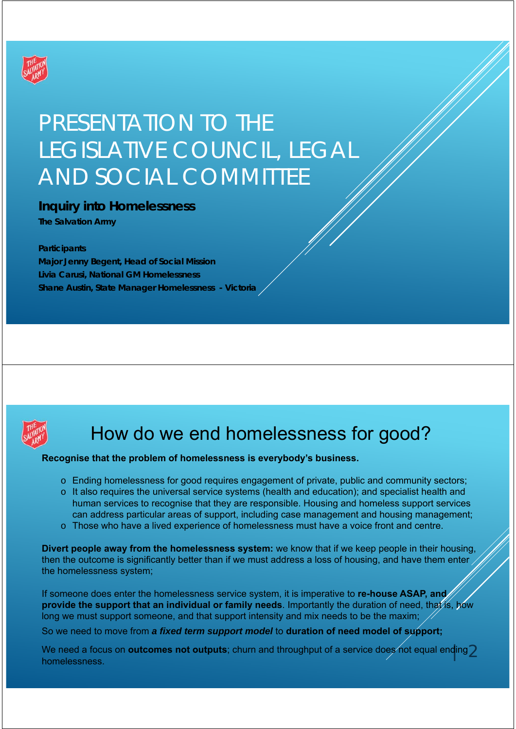

# PRESENTATION TO THE LEGISLATIVE COUNCIL, LEGAL AND SOCIAL COMMITTEE

### **Inquiry into Homelessness**

**The Salvation Army**

### **Participants**

**Major Jenny Begent, Head of Social Mission Livia Carusi, National GM Homelessness Shane Austin, State Manager Homelessness - Victoria** 



# How do we end homelessness for good?

### **Recognise that the problem of homelessness is everybody's business.**

- o Ending homelessness for good requires engagement of private, public and community sectors;
- $\circ$  It also requires the universal service systems (health and education); and specialist health and human services to recognise that they are responsible. Housing and homeless support services can address particular areas of support, including case management and housing management;
- o Those who have a lived experience of homelessness must have a voice front and centre.

**Divert people away from the homelessness system:** we know that if we keep people in their housing, then the outcome is significantly better than if we must address a loss of housing, and have them enter the homelessness system;

If someone does enter the homelessness service system, it is imperative to **re-house ASAP, and provide the support that an individual or family needs**. Importantly the duration of need, that is, how long we must support someone, and that support intensity and mix needs to be the maxim;

So we need to move from *a fixed term support model* to **duration of need model of support;**

We need a focus on **outcomes not outputs**; churn and throughput of a service does not equal end<mark>i</mark>ng $2$ homelessness.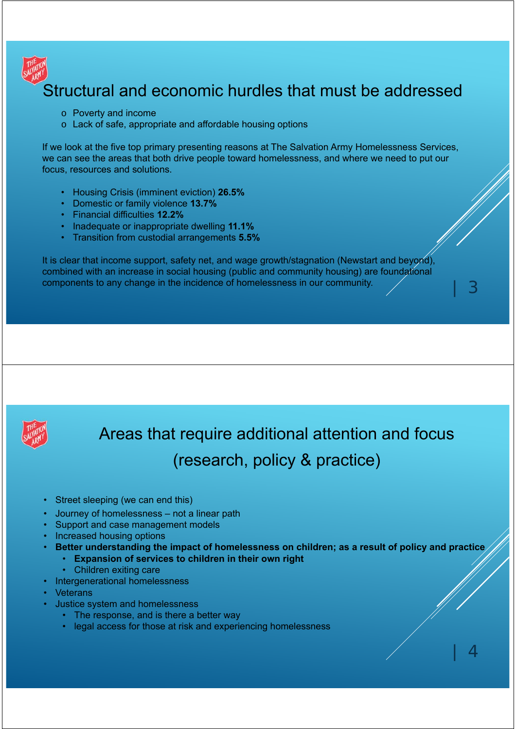

## Structural and economic hurdles that must be addressed

- o Poverty and income
- o Lack of safe, appropriate and affordable housing options

If we look at the five top primary presenting reasons at The Salvation Army Homelessness Services, we can see the areas that both drive people toward homelessness, and where we need to put our focus, resources and solutions.

- Housing Crisis (imminent eviction) **26.5%**
- Domestic or family violence **13.7%**
- Financial difficulties **12.2%**
- Inadequate or inappropriate dwelling **11.1%**
- Transition from custodial arrangements **5.5%**

It is clear that income support, safety net, and wage growth/stagnation (Newstart and beyond), combined with an increase in social housing (public and community housing) are foundational components to any change in the incidence of homelessness in our community.



Areas that require additional attention and focus (research, policy & practice)

- Street sleeping (we can end this)
- Journey of homelessness not a linear path
- Support and case management models
- Increased housing options
- **Better understanding the impact of homelessness on children; as a result of policy and practice**
	- **Expansion of services to children in their own right**
	- Children exiting care
- Intergenerational homelessness
- **Veterans** 
	- Justice system and homelessness
		- The response, and is there a better way
		- legal access for those at risk and experiencing homelessness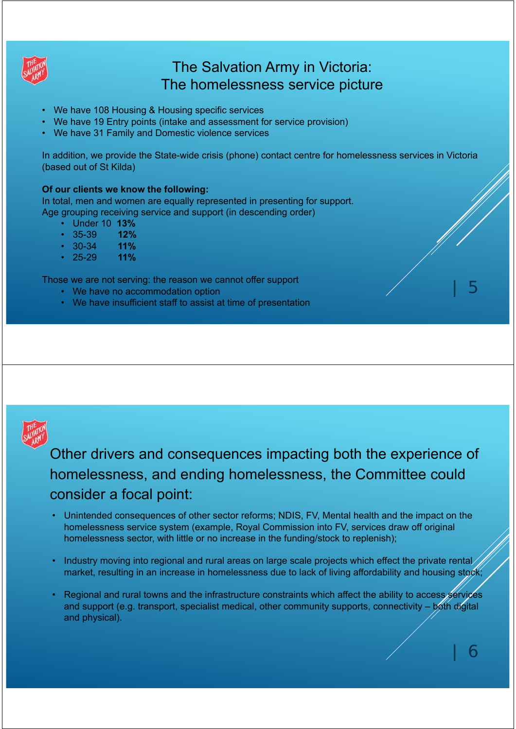

### The Salvation Army in Victoria: The homelessness service picture

- We have 108 Housing & Housing specific services
- We have 19 Entry points (intake and assessment for service provision)
- We have 31 Family and Domestic violence services

In addition, we provide the State-wide crisis (phone) contact centre for homelessness services in Victoria (based out of St Kilda)

### **Of our clients we know the following:**

In total, men and women are equally represented in presenting for support. Age grouping receiving service and support (in descending order)

- Under 10 **13%**
- 35-39 **12%**
- 30-34 **11%**
- 25-29 **11%**

Those we are not serving: the reason we cannot offer support

- We have no accommodation option
- We have insufficient staff to assist at time of presentation



Other drivers and consequences impacting both the experience of homelessness, and ending homelessness, the Committee could consider a focal point:

- Unintended consequences of other sector reforms; NDIS, FV, Mental health and the impact on the homelessness service system (example, Royal Commission into FV, services draw off original homelessness sector, with little or no increase in the funding/stock to replenish);
- Industry moving into regional and rural areas on large scale projects which effect the private rental market, resulting in an increase in homelessness due to lack of living affordability and housing stock;
- Regional and rural towns and the infrastructure constraints which affect the ability to access services and support (e.g. transport, specialist medical, other community supports, connectivity – both digital and physical).

 $\bigcap$ 

| 5